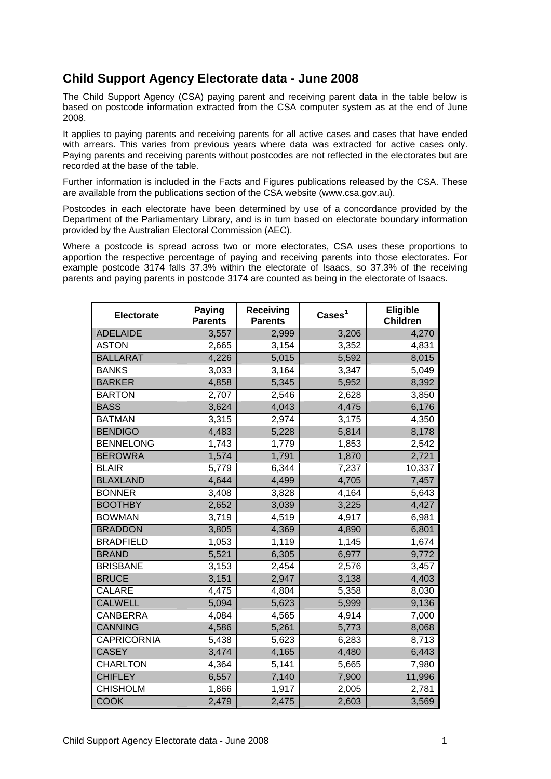## **Child Support Agency Electorate data - June 2008**

The Child Support Agency (CSA) paying parent and receiving parent data in the table below is based on postcode information extracted from the CSA computer system as at the end of June 2008.

It applies to paying parents and receiving parents for all active cases and cases that have ended with arrears. This varies from previous years where data was extracted for active cases only. Paying parents and receiving parents without postcodes are not reflected in the electorates but are recorded at the base of the table.

Further information is included in the Facts and Figures publications released by the CSA. These are available from the publications section of the CSA website (www.csa.gov.au).

Postcodes in each electorate have been determined by use of a concordance provided by the Department of the Parliamentary Library, and is in turn based on electorate boundary information provided by the Australian Electoral Commission (AEC).

Where a postcode is spread across two or more electorates, CSA uses these proportions to apportion the respective percentage of paying and receiving parents into those electorates. For example postcode 3174 falls 37.3% within the electorate of Isaacs, so 37.3% of the receiving parents and paying parents in postcode 3174 are counted as being in the electorate of Isaacs.

| Electorate         | Paying<br><b>Parents</b> | Receiving<br><b>Parents</b> | $\text{Case} \text{s}^1$ | Eligible<br><b>Children</b> |
|--------------------|--------------------------|-----------------------------|--------------------------|-----------------------------|
| <b>ADELAIDE</b>    | 3,557                    | 2,999                       | 3,206                    | 4,270                       |
| <b>ASTON</b>       | 2,665                    | 3,154                       | 3,352                    | 4,831                       |
| <b>BALLARAT</b>    | 4,226                    | 5,015                       | 5,592                    | 8,015                       |
| <b>BANKS</b>       | 3,033                    | 3,164                       | 3,347                    | 5,049                       |
| <b>BARKER</b>      | 4,858                    | 5,345                       | 5,952                    | 8,392                       |
| <b>BARTON</b>      | 2,707                    | 2,546                       | 2,628                    | 3,850                       |
| <b>BASS</b>        | 3,624                    | 4,043                       | 4,475                    | 6,176                       |
| <b>BATMAN</b>      | 3,315                    | 2,974                       | 3,175                    | 4,350                       |
| <b>BENDIGO</b>     | 4,483                    | 5,228                       | 5,814                    | 8,178                       |
| <b>BENNELONG</b>   | 1,743                    | 1,779                       | 1,853                    | 2,542                       |
| <b>BEROWRA</b>     | 1,574                    | 1,791                       | 1,870                    | 2,721                       |
| <b>BLAIR</b>       | 5,779                    | 6,344                       | 7,237                    | 10,337                      |
| <b>BLAXLAND</b>    | 4,644                    | 4,499                       | 4,705                    | 7,457                       |
| <b>BONNER</b>      | 3,408                    | 3,828                       | 4,164                    | 5,643                       |
| <b>BOOTHBY</b>     | 2,652                    | 3,039                       | 3,225                    | 4,427                       |
| <b>BOWMAN</b>      | 3,719                    | 4,519                       | 4,917                    | 6,981                       |
| <b>BRADDON</b>     | 3,805                    | 4,369                       | 4,890                    | 6,801                       |
| <b>BRADFIELD</b>   | 1,053                    | 1,119                       | 1,145                    | 1,674                       |
| <b>BRAND</b>       | 5,521                    | 6,305                       | 6,977                    | 9,772                       |
| <b>BRISBANE</b>    | 3,153                    | 2,454                       | 2,576                    | 3,457                       |
| <b>BRUCE</b>       | 3,151                    | 2,947                       | 3,138                    | 4,403                       |
| <b>CALARE</b>      | 4,475                    | 4,804                       | 5,358                    | 8,030                       |
| <b>CALWELL</b>     | 5,094                    | 5,623                       | 5,999                    | 9,136                       |
| <b>CANBERRA</b>    | 4,084                    | 4,565                       | 4,914                    | 7,000                       |
| <b>CANNING</b>     | 4,586                    | 5,261                       | 5,773                    | 8,068                       |
| <b>CAPRICORNIA</b> | 5,438                    | 5,623                       | 6,283                    | 8,713                       |
| <b>CASEY</b>       | 3,474                    | 4,165                       | 4,480                    | 6,443                       |
| <b>CHARLTON</b>    | 4,364                    | 5,141                       | 5,665                    | 7,980                       |
| <b>CHIFLEY</b>     | 6,557                    | 7,140                       | 7,900                    | 11,996                      |
| <b>CHISHOLM</b>    | 1,866                    | 1,917                       | 2,005                    | 2,781                       |
| <b>COOK</b>        | 2,479                    | 2,475                       | 2,603                    | 3,569                       |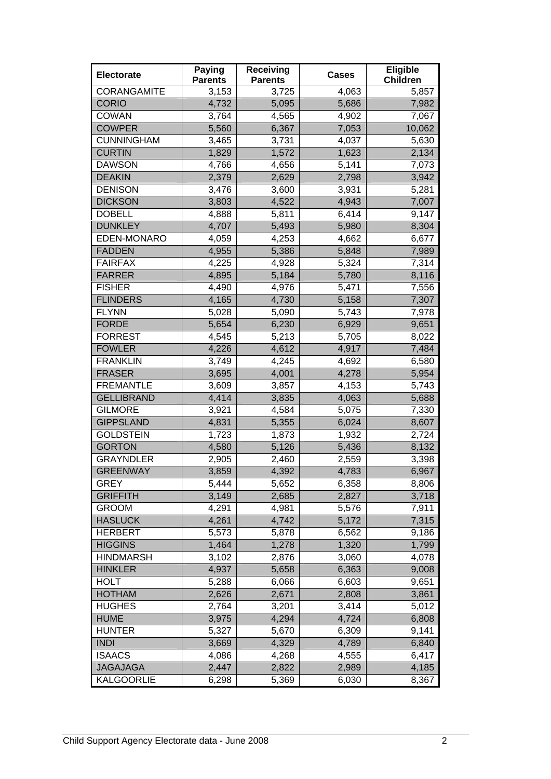| Electorate         | <b>Paying</b><br><b>Parents</b> | <b>Receiving</b><br><b>Parents</b> | <b>Cases</b>       | Eligible<br><b>Children</b> |
|--------------------|---------------------------------|------------------------------------|--------------------|-----------------------------|
| <b>CORANGAMITE</b> | 3,153                           | 3,725                              | 4,063              | 5,857                       |
| <b>CORIO</b>       | 4,732                           | 5,095                              | 5,686              | 7,982                       |
| <b>COWAN</b>       | 3,764                           | 4,565                              | 4,902              | 7,067                       |
| <b>COWPER</b>      | 5,560                           | 6,367                              | 7,053              | 10,062                      |
| <b>CUNNINGHAM</b>  | 3,465                           | 3,731                              | 4,037              | 5,630                       |
| <b>CURTIN</b>      | 1,829                           | 1,572                              | 1,623              | 2,134                       |
| <b>DAWSON</b>      | 4,766                           | 4,656                              | 5,141              | 7,073                       |
| <b>DEAKIN</b>      | 2,379                           | 2,629                              | 2,798              | 3,942                       |
| <b>DENISON</b>     | 3,476                           | 3,600                              | 3,931              | 5,281                       |
| <b>DICKSON</b>     | 3,803                           | 4,522                              | 4,943              | 7,007                       |
| <b>DOBELL</b>      | 4,888                           | 5,811                              | 6,414              | 9,147                       |
| <b>DUNKLEY</b>     | 4,707                           | 5,493                              | 5,980              | 8,304                       |
| EDEN-MONARO        | 4,059                           | 4,253                              | 4,662              | 6,677                       |
| <b>FADDEN</b>      | 4,955                           | 5,386                              | 5,848              | 7,989                       |
| <b>FAIRFAX</b>     | 4,225                           | 4,928                              | 5,324              | 7,314                       |
| <b>FARRER</b>      | 4,895                           | 5,184                              | 5,780              | 8,116                       |
| <b>FISHER</b>      | 4,490                           | 4,976                              | $\overline{5,}471$ | 7,556                       |
| <b>FLINDERS</b>    | 4,165                           | 4,730                              | 5,158              | 7,307                       |
| <b>FLYNN</b>       | 5,028                           | 5,090                              | 5,743              | 7,978                       |
| <b>FORDE</b>       | 5,654                           | 6,230                              | 6,929              | 9,651                       |
| <b>FORREST</b>     | 4,545                           | 5,213                              | 5,705              | 8,022                       |
| <b>FOWLER</b>      | 4,226                           | 4,612                              | 4,917              | 7,484                       |
| <b>FRANKLIN</b>    | 3,749                           | 4,245                              | 4,692              | 6,580                       |
| <b>FRASER</b>      | 3,695                           | 4,001                              | 4,278              | 5,954                       |
| <b>FREMANTLE</b>   | 3,609                           | 3,857                              | 4,153              | 5,743                       |
| <b>GELLIBRAND</b>  | 4,414                           | 3,835                              | 4,063              | 5,688                       |
| <b>GILMORE</b>     | 3,921                           | 4,584                              | 5,075              | 7,330                       |
| <b>GIPPSLAND</b>   | 4,831                           | 5,355                              | 6,024              | 8,607                       |
| <b>GOLDSTEIN</b>   | 1,723                           | 1,873                              | 1,932              | 2,724                       |
| <b>GORTON</b>      | 4,580                           | 5,126                              | 5,436              | 8,132                       |
| <b>GRAYNDLER</b>   | 2,905                           | 2,460                              | 2,559              | 3,398                       |
| <b>GREENWAY</b>    | 3,859                           | 4,392                              | 4,783              | 6,967                       |
| <b>GREY</b>        | 5,444                           | 5,652                              | 6,358              | 8,806                       |
| <b>GRIFFITH</b>    | 3,149                           | 2,685                              | 2,827              | 3,718                       |
| <b>GROOM</b>       | 4,291                           | 4,981                              | 5,576              | 7,911                       |
| <b>HASLUCK</b>     | 4,261                           | 4,742                              | 5,172              | 7,315                       |
| <b>HERBERT</b>     | 5,573                           | 5,878                              | 6,562              | 9,186                       |
| <b>HIGGINS</b>     | 1,464                           | 1,278                              | 1,320              | 1,799                       |
| <b>HINDMARSH</b>   | 3,102                           | 2,876                              | 3,060              | 4,078                       |
| <b>HINKLER</b>     | 4,937                           | 5,658                              | 6,363              | 9,008                       |
| <b>HOLT</b>        | 5,288                           | 6,066                              | 6,603              | 9,651                       |
| <b>HOTHAM</b>      | 2,626                           | 2,671                              | 2,808              | 3,861                       |
| <b>HUGHES</b>      | 2,764                           | 3,201                              | 3,414              | 5,012                       |
| <b>HUME</b>        | 3,975                           | 4,294                              | 4,724              | 6,808                       |
| <b>HUNTER</b>      | 5,327                           | 5,670                              | 6,309              | 9,141                       |
| <b>INDI</b>        | 3,669                           | 4,329                              | 4,789              | 6,840                       |
| <b>ISAACS</b>      | 4,086                           | 4,268                              | 4,555              | 6,417                       |
| <b>JAGAJAGA</b>    | 2,447                           | 2,822                              | 2,989              | 4,185                       |
| <b>KALGOORLIE</b>  | 6,298                           | 5,369                              | 6,030              | 8,367                       |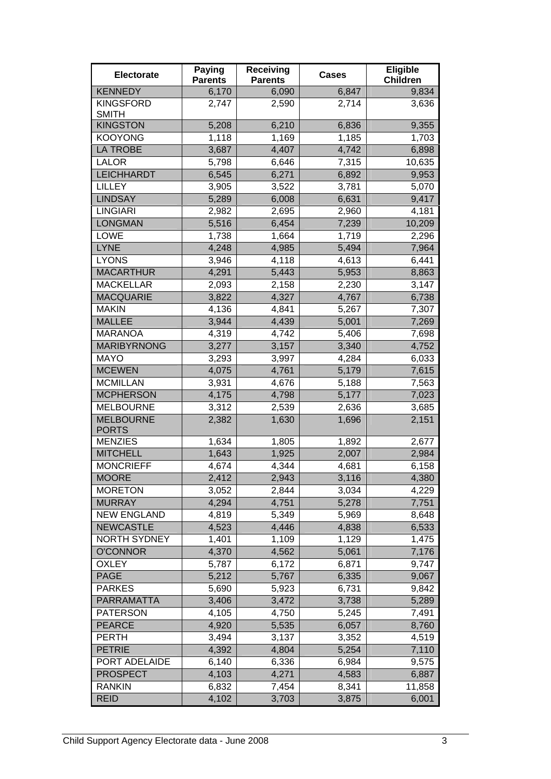| <b>Electorate</b>                | <b>Paying</b><br><b>Parents</b> | <b>Receiving</b><br><b>Parents</b> | <b>Cases</b> | Eligible<br><b>Children</b> |
|----------------------------------|---------------------------------|------------------------------------|--------------|-----------------------------|
| <b>KENNEDY</b>                   | 6,170                           | 6,090                              | 6,847        | 9,834                       |
| <b>KINGSFORD</b><br><b>SMITH</b> | 2,747                           | 2,590                              | 2,714        | 3,636                       |
| <b>KINGSTON</b>                  | 5,208                           | 6,210                              | 6,836        | 9,355                       |
| <b>KOOYONG</b>                   | 1,118                           | 1,169                              | 1,185        | 1,703                       |
| <b>LA TROBE</b>                  | 3,687                           | 4,407                              | 4,742        | 6,898                       |
| <b>LALOR</b>                     | 5,798                           | 6,646                              | 7,315        | 10,635                      |
| <b>LEICHHARDT</b>                | 6,545                           | 6,271                              | 6,892        | 9,953                       |
| <b>LILLEY</b>                    | 3,905                           | 3,522                              | 3,781        | 5,070                       |
| <b>LINDSAY</b>                   | 5,289                           | 6,008                              | 6,631        | 9,417                       |
| <b>LINGIARI</b>                  | 2,982                           | 2,695                              | 2,960        | 4,181                       |
| <b>LONGMAN</b>                   | 5,516                           | 6,454                              | 7,239        | 10,209                      |
| <b>LOWE</b>                      | 1,738                           | 1,664                              | 1,719        | 2,296                       |
| <b>LYNE</b>                      | 4,248                           | 4,985                              | 5,494        | 7,964                       |
| <b>LYONS</b>                     | 3,946                           | 4,118                              | 4,613        | 6,441                       |
| <b>MACARTHUR</b>                 | 4,291                           | 5,443                              | 5,953        | 8,863                       |
| <b>MACKELLAR</b>                 | 2,093                           | 2,158                              | 2,230        | 3,147                       |
| <b>MACQUARIE</b>                 | 3,822                           | 4,327                              | 4,767        | 6,738                       |
| <b>MAKIN</b>                     | 4,136                           | 4,841                              | 5,267        | 7,307                       |
| <b>MALLEE</b>                    | 3,944                           | 4,439                              | 5,001        | 7,269                       |
| <b>MARANOA</b>                   | 4,319                           | 4,742                              | 5,406        | 7,698                       |
| <b>MARIBYRNONG</b>               | 3,277                           | 3,157                              | 3,340        | 4,752                       |
| <b>MAYO</b>                      | 3,293                           | 3,997                              | 4,284        | 6,033                       |
| <b>MCEWEN</b>                    | 4,075                           | $\overline{4,}761$                 | 5,179        | 7,615                       |
| <b>MCMILLAN</b>                  | 3,931                           | 4,676                              | 5,188        | 7,563                       |
| <b>MCPHERSON</b>                 | 4,175                           | 4,798                              | 5,177        | 7,023                       |
| <b>MELBOURNE</b>                 | 3,312                           | 2,539                              | 2,636        | 3,685                       |
| <b>MELBOURNE</b><br><b>PORTS</b> | 2,382                           | 1,630                              | 1,696        | 2,151                       |
| <b>MENZIES</b>                   | 1,634                           | 1,805                              | 1,892        | 2,677                       |
| <b>MITCHELL</b>                  | 1,643                           | 1,925                              | 2,007        | 2,984                       |
| <b>MONCRIEFF</b>                 | 4,674                           | 4,344                              | 4,681        | 6,158                       |
| <b>MOORE</b>                     | 2,412                           | 2,943                              | 3,116        | 4,380                       |
| <b>MORETON</b>                   | 3,052                           | 2,844                              | 3,034        | 4,229                       |
| <b>MURRAY</b>                    | 4,294                           | 4,751                              | 5,278        | 7,751                       |
| <b>NEW ENGLAND</b>               | 4,819                           | 5,349                              | 5,969        | 8,648                       |
| <b>NEWCASTLE</b>                 | 4,523                           | 4,446                              | 4,838        | 6,533                       |
| <b>NORTH SYDNEY</b>              | 1,401                           | 1,109                              | 1,129        | 1,475                       |
| <b>O'CONNOR</b>                  | 4,370                           | 4,562                              | 5,061        | 7,176                       |
| <b>OXLEY</b>                     | 5,787                           | 6,172                              | 6,871        | 9,747                       |
| <b>PAGE</b>                      | 5,212                           | 5,767                              | 6,335        | 9,067                       |
| <b>PARKES</b>                    | 5,690                           | 5,923                              | 6,731        | 9,842                       |
| PARRAMATTA                       | 3,406                           | 3,472                              | 3,738        | 5,289                       |
| <b>PATERSON</b>                  | 4,105                           | 4,750                              | 5,245        | 7,491                       |
| <b>PEARCE</b>                    | 4,920                           | 5,535                              | 6,057        | 8,760                       |
| <b>PERTH</b>                     | 3,494                           | 3,137                              | 3,352        | 4,519                       |
| <b>PETRIE</b>                    | 4,392                           | 4,804                              | 5,254        | 7,110                       |
| PORT ADELAIDE                    | 6,140                           | 6,336                              | 6,984        | 9,575                       |
| <b>PROSPECT</b>                  | 4,103                           | 4,271                              | 4,583        | 6,887                       |
| <b>RANKIN</b>                    | 6,832                           | 7,454                              | 8,341        | 11,858                      |
| <b>REID</b>                      | 4,102                           | 3,703                              | 3,875        | 6,001                       |